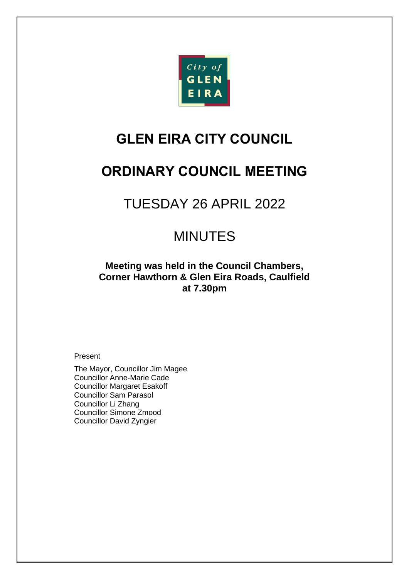

# **GLEN EIRA CITY COUNCIL**

# **ORDINARY COUNCIL MEETING**

# TUESDAY 26 APRIL 2022

# MINUTES

**Meeting was held in the Council Chambers, Corner Hawthorn & Glen Eira Roads, Caulfield at 7.30pm**

### Present

The Mayor, Councillor Jim Magee Councillor Anne-Marie Cade Councillor Margaret Esakoff Councillor Sam Parasol Councillor Li Zhang Councillor Simone Zmood Councillor David Zyngier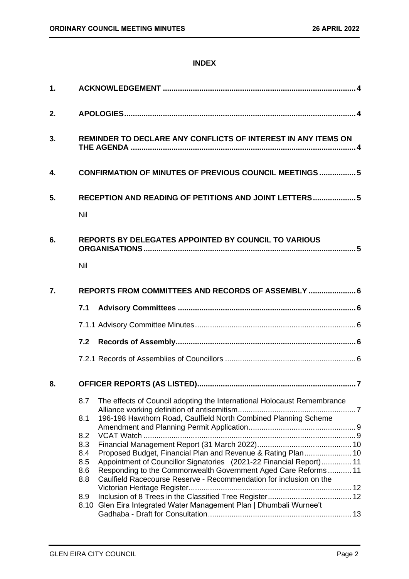### **INDEX**

| 1. |                                                                                                                                                          |  |  |  |
|----|----------------------------------------------------------------------------------------------------------------------------------------------------------|--|--|--|
| 2. |                                                                                                                                                          |  |  |  |
| 3. | REMINDER TO DECLARE ANY CONFLICTS OF INTEREST IN ANY ITEMS ON                                                                                            |  |  |  |
| 4. | <b>CONFIRMATION OF MINUTES OF PREVIOUS COUNCIL MEETINGS  5</b>                                                                                           |  |  |  |
| 5. | RECEPTION AND READING OF PETITIONS AND JOINT LETTERS 5<br>Nil                                                                                            |  |  |  |
| 6. | <b>REPORTS BY DELEGATES APPOINTED BY COUNCIL TO VARIOUS</b><br>Nil                                                                                       |  |  |  |
| 7. | REPORTS FROM COMMITTEES AND RECORDS OF ASSEMBLY  6                                                                                                       |  |  |  |
|    | 7.1                                                                                                                                                      |  |  |  |
|    |                                                                                                                                                          |  |  |  |
|    | 7.2                                                                                                                                                      |  |  |  |
|    |                                                                                                                                                          |  |  |  |
| 8. |                                                                                                                                                          |  |  |  |
|    | The effects of Council adopting the International Holocaust Remembrance<br>8.7<br>196-198 Hawthorn Road, Caulfield North Combined Planning Scheme<br>8.1 |  |  |  |
|    | 8.2                                                                                                                                                      |  |  |  |
|    | 8.3                                                                                                                                                      |  |  |  |
|    | Proposed Budget, Financial Plan and Revenue & Rating Plan 10<br>8.4<br>Appointment of Councillor Signatories (2021-22 Financial Report) 11<br>8.5        |  |  |  |
|    | Responding to the Commonwealth Government Aged Care Reforms 11<br>8.6                                                                                    |  |  |  |
|    | Caulfield Racecourse Reserve - Recommendation for inclusion on the<br>8.8                                                                                |  |  |  |
|    |                                                                                                                                                          |  |  |  |
|    | 8.9                                                                                                                                                      |  |  |  |
|    | 8.10 Glen Eira Integrated Water Management Plan   Dhumbali Wurnee't                                                                                      |  |  |  |
|    |                                                                                                                                                          |  |  |  |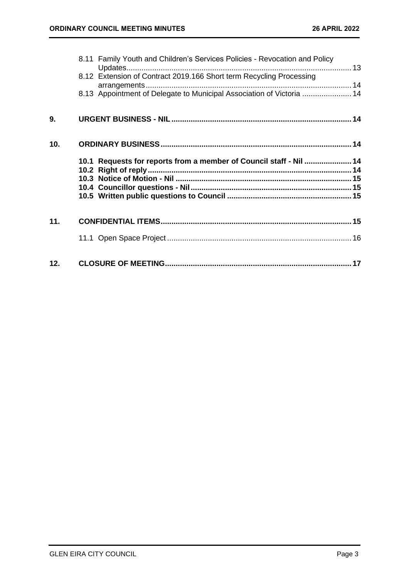|     | 8.11 Family Youth and Children's Services Policies - Revocation and Policy<br>8.12 Extension of Contract 2019.166 Short term Recycling Processing<br>8.13 Appointment of Delegate to Municipal Association of Victoria  14 |  |
|-----|----------------------------------------------------------------------------------------------------------------------------------------------------------------------------------------------------------------------------|--|
| 9.  |                                                                                                                                                                                                                            |  |
| 10. |                                                                                                                                                                                                                            |  |
|     | 10.1 Requests for reports from a member of Council staff - Nil  14                                                                                                                                                         |  |
| 11. |                                                                                                                                                                                                                            |  |
|     |                                                                                                                                                                                                                            |  |
| 12. |                                                                                                                                                                                                                            |  |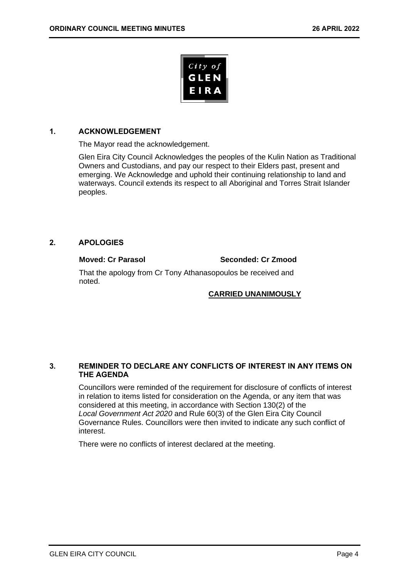

### <span id="page-3-0"></span>**1. ACKNOWLEDGEMENT**

The Mayor read the acknowledgement.

Glen Eira City Council Acknowledges the peoples of the Kulin Nation as Traditional Owners and Custodians, and pay our respect to their Elders past, present and emerging. We Acknowledge and uphold their continuing relationship to land and waterways. Council extends its respect to all Aboriginal and Torres Strait Islander peoples.

### <span id="page-3-1"></span>**2. APOLOGIES**

**Moved: Cr Parasol Seconded: Cr Zmood**

That the apology from Cr Tony Athanasopoulos be received and noted.

### **CARRIED UNANIMOUSLY**

### <span id="page-3-2"></span>**3. REMINDER TO DECLARE ANY CONFLICTS OF INTEREST IN ANY ITEMS ON THE AGENDA**

Councillors were reminded of the requirement for disclosure of conflicts of interest in relation to items listed for consideration on the Agenda, or any item that was considered at this meeting, in accordance with Section 130(2) of the *Local Government Act 2020* and Rule 60(3) of the Glen Eira City Council Governance Rules. Councillors were then invited to indicate any such conflict of interest.

There were no conflicts of interest declared at the meeting.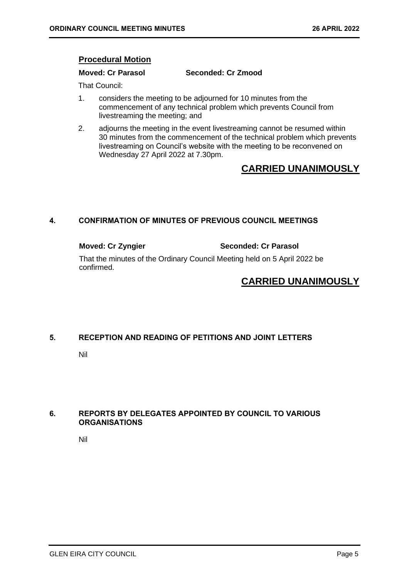### **Procedural Motion**

**Moved: Cr Parasol Seconded: Cr Zmood**

That Council:

- 1. considers the meeting to be adjourned for 10 minutes from the commencement of any technical problem which prevents Council from livestreaming the meeting; and
- 2. adjourns the meeting in the event livestreaming cannot be resumed within 30 minutes from the commencement of the technical problem which prevents livestreaming on Council's website with the meeting to be reconvened on Wednesday 27 April 2022 at 7.30pm.

# **CARRIED UNANIMOUSLY**

### <span id="page-4-0"></span>**4. CONFIRMATION OF MINUTES OF PREVIOUS COUNCIL MEETINGS**

**Moved: Cr Zyngier Seconded: Cr Parasol**

That the minutes of the Ordinary Council Meeting held on 5 April 2022 be confirmed.

# **CARRIED UNANIMOUSLY**

### <span id="page-4-2"></span><span id="page-4-1"></span>**5. RECEPTION AND READING OF PETITIONS AND JOINT LETTERS**

Nil

### <span id="page-4-4"></span><span id="page-4-3"></span>**6. REPORTS BY DELEGATES APPOINTED BY COUNCIL TO VARIOUS ORGANISATIONS**

Nil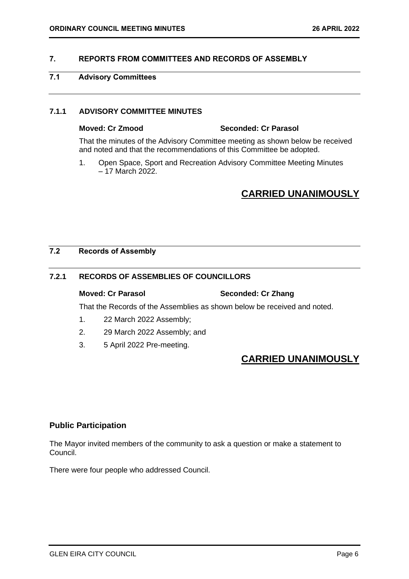### <span id="page-5-2"></span><span id="page-5-0"></span>**7. REPORTS FROM COMMITTEES AND RECORDS OF ASSEMBLY**

### <span id="page-5-1"></span>**7.1 Advisory Committees**

### **7.1.1 ADVISORY COMMITTEE MINUTES**

### **Moved: Cr Zmood Seconded: Cr Parasol**

That the minutes of the Advisory Committee meeting as shown below be received and noted and that the recommendations of this Committee be adopted.

1. Open Space, Sport and Recreation Advisory Committee Meeting Minutes – 17 March 2022.

# **CARRIED UNANIMOUSLY**

### <span id="page-5-3"></span>**7.2 Records of Assembly**

### **7.2.1 RECORDS OF ASSEMBLIES OF COUNCILLORS**

### **Moved: Cr Parasol Seconded: Cr Zhang**

That the Records of the Assemblies as shown below be received and noted.

- 1. 22 March 2022 Assembly;
- 2. 29 March 2022 Assembly; and
- 3. 5 April 2022 Pre-meeting.

# **CARRIED UNANIMOUSLY**

### **Public Participation**

The Mayor invited members of the community to ask a question or make a statement to Council.

There were four people who addressed Council.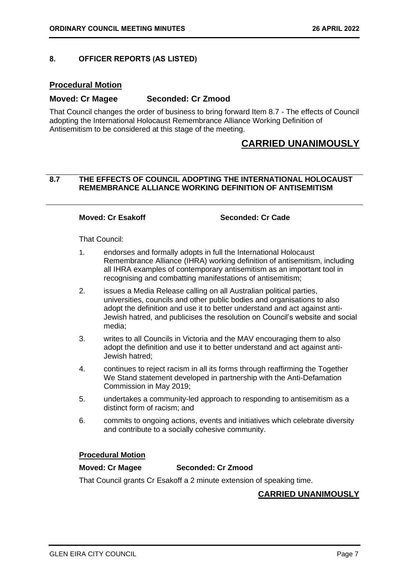### <span id="page-6-1"></span><span id="page-6-0"></span>**8. OFFICER REPORTS (AS LISTED)**

### **Procedural Motion**

### **Moved: Cr Magee Seconded: Cr Zmood**

That Council changes the order of business to bring forward Item 8.7 - The effects of Council adopting the International Holocaust Remembrance Alliance Working Definition of Antisemitism to be considered at this stage of the meeting.

## **CARRIED UNANIMOUSLY**

### **8.7 THE EFFECTS OF COUNCIL ADOPTING THE INTERNATIONAL HOLOCAUST REMEMBRANCE ALLIANCE WORKING DEFINITION OF ANTISEMITISM**

**Moved: Cr Esakoff Seconded: Cr Cade**

That Council:

- 1. endorses and formally adopts in full the International Holocaust Remembrance Alliance (IHRA) working definition of antisemitism, including all IHRA examples of contemporary antisemitism as an important tool in recognising and combatting manifestations of antisemitism;
- 2. issues a Media Release calling on all Australian political parties, universities, councils and other public bodies and organisations to also adopt the definition and use it to better understand and act against anti-Jewish hatred, and publicises the resolution on Council's website and social media;
- 3. writes to all Councils in Victoria and the MAV encouraging them to also adopt the definition and use it to better understand and act against anti-Jewish hatred;
- 4. continues to reject racism in all its forms through reaffirming the Together We Stand statement developed in partnership with the Anti-Defamation Commission in May 2019;
- 5. undertakes a community-led approach to responding to antisemitism as a distinct form of racism; and
- 6. commits to ongoing actions, events and initiatives which celebrate diversity and contribute to a socially cohesive community.

### **Procedural Motion**

### **Moved: Cr Magee Seconded: Cr Zmood**

### That Council grants Cr Esakoff a 2 minute extension of speaking time.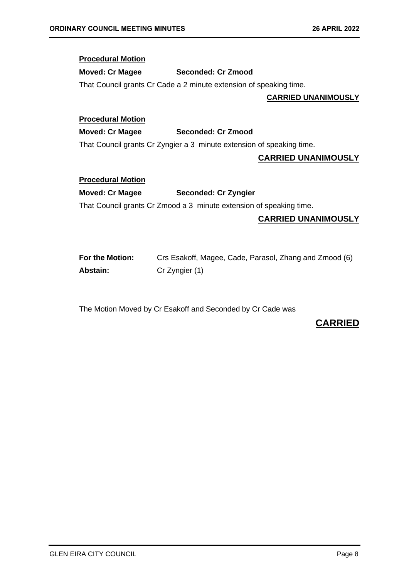### **Procedural Motion**

### **Moved: Cr Magee Seconded: Cr Zmood**

That Council grants Cr Cade a 2 minute extension of speaking time.

### **CARRIED UNANIMOUSLY**

### **Procedural Motion**

### **Moved: Cr Magee Seconded: Cr Zmood**

That Council grants Cr Zyngier a 3 minute extension of speaking time.

### **CARRIED UNANIMOUSLY**

### **Procedural Motion**

### **Moved: Cr Magee Seconded: Cr Zyngier**

That Council grants Cr Zmood a 3 minute extension of speaking time.

### **CARRIED UNANIMOUSLY**

| For the Motion: | Crs Esakoff, Magee, Cade, Parasol, Zhang and Zmood (6) |
|-----------------|--------------------------------------------------------|
| Abstain:        | Cr Zyngier (1)                                         |

The Motion Moved by Cr Esakoff and Seconded by Cr Cade was

## **CARRIED**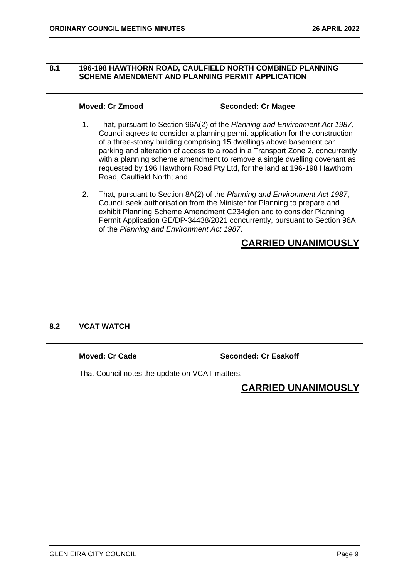### <span id="page-8-0"></span>**8.1 196-198 HAWTHORN ROAD, CAULFIELD NORTH COMBINED PLANNING SCHEME AMENDMENT AND PLANNING PERMIT APPLICATION**

### **Moved: Cr Zmood Seconded: Cr Magee**

- 1. That, pursuant to Section 96A(2) of the *Planning and Environment Act 1987,*  Council agrees to consider a planning permit application for the construction of a three-storey building comprising 15 dwellings above basement car parking and alteration of access to a road in a Transport Zone 2, concurrently with a planning scheme amendment to remove a single dwelling covenant as requested by 196 Hawthorn Road Pty Ltd, for the land at 196-198 Hawthorn Road, Caulfield North; and
- 2. That, pursuant to Section 8A(2) of the *Planning and Environment Act 1987*, Council seek authorisation from the Minister for Planning to prepare and exhibit Planning Scheme Amendment C234glen and to consider Planning Permit Application GE/DP-34438/2021 concurrently, pursuant to Section 96A of the *Planning and Environment Act 1987*.

# **CARRIED UNANIMOUSLY**

### **8.2 VCAT WATCH**

**Moved: Cr Cade Seconded: Cr Esakoff**

That Council notes the update on VCAT matters.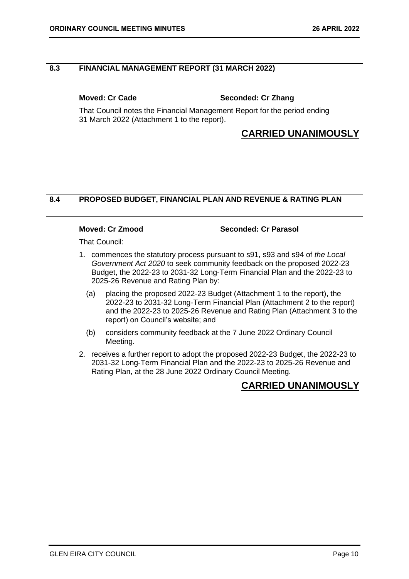### <span id="page-9-0"></span>**8.3 FINANCIAL MANAGEMENT REPORT (31 MARCH 2022)**

### **Moved: Cr Cade Seconded: Cr Zhang**

That Council notes the Financial Management Report for the period ending 31 March 2022 (Attachment 1 to the report).

# **CARRIED UNANIMOUSLY**

### **8.4 PROPOSED BUDGET, FINANCIAL PLAN AND REVENUE & RATING PLAN**

### **Moved: Cr Zmood Seconded: Cr Parasol**

That Council:

- 1. commences the statutory process pursuant to s91, s93 and s94 of *the Local Government Act 2020* to seek community feedback on the proposed 2022-23 Budget, the 2022-23 to 2031-32 Long-Term Financial Plan and the 2022-23 to 2025-26 Revenue and Rating Plan by:
	- (a) placing the proposed 2022-23 Budget (Attachment 1 to the report), the 2022-23 to 2031-32 Long-Term Financial Plan (Attachment 2 to the report) and the 2022-23 to 2025-26 Revenue and Rating Plan (Attachment 3 to the report) on Council's website; and
	- (b) considers community feedback at the 7 June 2022 Ordinary Council Meeting.
- 2. receives a further report to adopt the proposed 2022-23 Budget, the 2022-23 to 2031-32 Long-Term Financial Plan and the 2022-23 to 2025-26 Revenue and Rating Plan, at the 28 June 2022 Ordinary Council Meeting.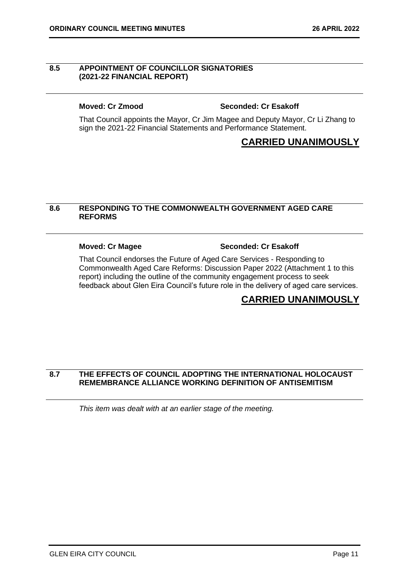### <span id="page-10-0"></span>**8.5 APPOINTMENT OF COUNCILLOR SIGNATORIES (2021-22 FINANCIAL REPORT)**

### **Moved: Cr Zmood Seconded: Cr Esakoff**

That Council appoints the Mayor, Cr Jim Magee and Deputy Mayor, Cr Li Zhang to sign the 2021-22 Financial Statements and Performance Statement.

## **CARRIED UNANIMOUSLY**

### **8.6 RESPONDING TO THE COMMONWEALTH GOVERNMENT AGED CARE REFORMS**

### **Moved: Cr Magee Seconded: Cr Esakoff**

That Council endorses the Future of Aged Care Services - Responding to Commonwealth Aged Care Reforms: Discussion Paper 2022 (Attachment 1 to this report) including the outline of the community engagement process to seek feedback about Glen Eira Council's future role in the delivery of aged care services.

# **CARRIED UNANIMOUSLY**

### **8.7 THE EFFECTS OF COUNCIL ADOPTING THE INTERNATIONAL HOLOCAUST REMEMBRANCE ALLIANCE WORKING DEFINITION OF ANTISEMITISM**

*This item was dealt with at an earlier stage of the meeting.*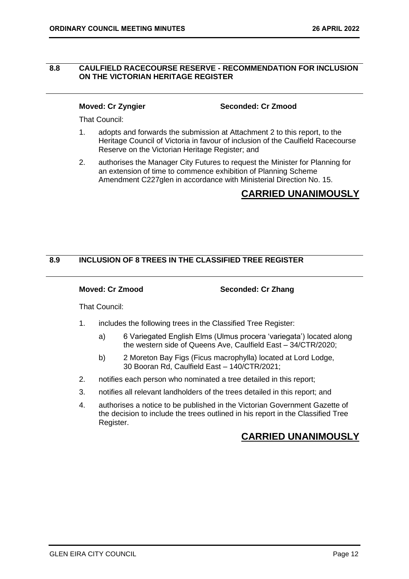### <span id="page-11-0"></span>**8.8 CAULFIELD RACECOURSE RESERVE - RECOMMENDATION FOR INCLUSION ON THE VICTORIAN HERITAGE REGISTER**

**Moved: Cr Zyngier Seconded: Cr Zmood**

That Council:

- 1. adopts and forwards the submission at Attachment 2 to this report, to the Heritage Council of Victoria in favour of inclusion of the Caulfield Racecourse Reserve on the Victorian Heritage Register; and
- 2. authorises the Manager City Futures to request the Minister for Planning for an extension of time to commence exhibition of Planning Scheme Amendment C227glen in accordance with Ministerial Direction No. 15.

# **CARRIED UNANIMOUSLY**

### **8.9 INCLUSION OF 8 TREES IN THE CLASSIFIED TREE REGISTER**

**Moved: Cr Zmood Seconded: Cr Zhang**

That Council:

- 1. includes the following trees in the Classified Tree Register:
	- a) 6 Variegated English Elms (Ulmus procera 'variegata') located along the western side of Queens Ave, Caulfield East – 34/CTR/2020;
	- b) 2 Moreton Bay Figs (Ficus macrophylla) located at Lord Lodge, 30 Booran Rd, Caulfield East – 140/CTR/2021;
- 2. notifies each person who nominated a tree detailed in this report;
- 3. notifies all relevant landholders of the trees detailed in this report; and
- 4. authorises a notice to be published in the Victorian Government Gazette of the decision to include the trees outlined in his report in the Classified Tree Register.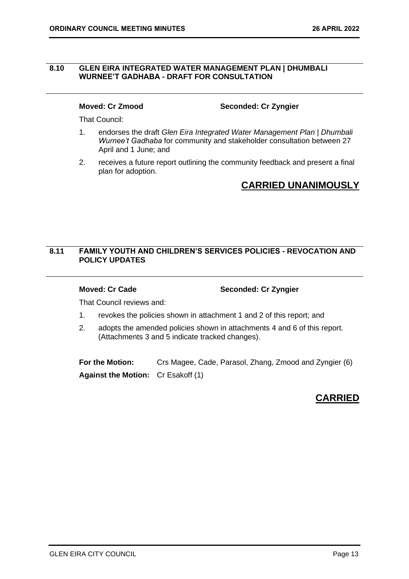### <span id="page-12-0"></span>**8.10 GLEN EIRA INTEGRATED WATER MANAGEMENT PLAN | DHUMBALI WURNEE'T GADHABA - DRAFT FOR CONSULTATION**

**Moved: Cr Zmood Seconded: Cr Zyngier**

That Council:

- 1. endorses the draft *Glen Eira Integrated Water Management Plan | Dhumbali Wurnee't Gadhaba* for community and stakeholder consultation between 27 April and 1 June; and
- 2. receives a future report outlining the community feedback and present a final plan for adoption.

# **CARRIED UNANIMOUSLY**

### **8.11 FAMILY YOUTH AND CHILDREN'S SERVICES POLICIES - REVOCATION AND POLICY UPDATES**

**Moved: Cr Cade Seconded: Cr Zyngier**

That Council reviews and:

- 1. revokes the policies shown in attachment 1 and 2 of this report; and
- 2. adopts the amended policies shown in attachments 4 and 6 of this report. (Attachments 3 and 5 indicate tracked changes).

**For the Motion:** Crs Magee, Cade, Parasol, Zhang, Zmood and Zyngier (6) **Against the Motion:** Cr Esakoff (1)

# **CARRIED**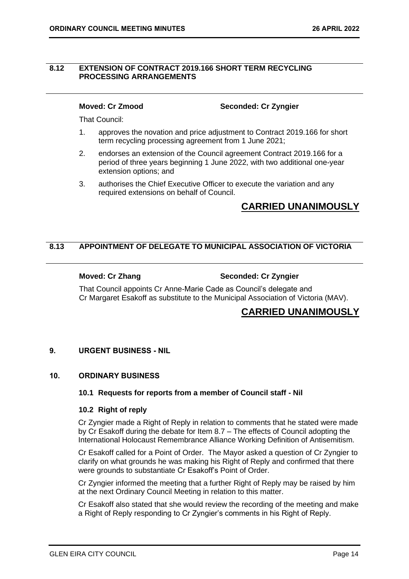### <span id="page-13-0"></span>**8.12 EXTENSION OF CONTRACT 2019.166 SHORT TERM RECYCLING PROCESSING ARRANGEMENTS**

**Moved: Cr Zmood Seconded: Cr Zyngier**

That Council:

- 1. approves the novation and price adjustment to Contract 2019.166 for short term recycling processing agreement from 1 June 2021;
- 2. endorses an extension of the Council agreement Contract 2019.166 for a period of three years beginning 1 June 2022, with two additional one-year extension options; and
- 3. authorises the Chief Executive Officer to execute the variation and any required extensions on behalf of Council.

# **CARRIED UNANIMOUSLY**

### **8.13 APPOINTMENT OF DELEGATE TO MUNICIPAL ASSOCIATION OF VICTORIA**

### **Moved: Cr Zhang Seconded: Cr Zyngier**

That Council appoints Cr Anne-Marie Cade as Council's delegate and Cr Margaret Esakoff as substitute to the Municipal Association of Victoria (MAV).

## **CARRIED UNANIMOUSLY**

### <span id="page-13-1"></span>**9. URGENT BUSINESS - NIL**

### <span id="page-13-4"></span><span id="page-13-3"></span><span id="page-13-2"></span>**10. ORDINARY BUSINESS**

### **10.1 Requests for reports from a member of Council staff - Nil**

### **10.2 Right of reply**

Cr Zyngier made a Right of Reply in relation to comments that he stated were made by Cr Esakoff during the debate for Item 8.7 – The effects of Council adopting the International Holocaust Remembrance Alliance Working Definition of Antisemitism.

Cr Esakoff called for a Point of Order. The Mayor asked a question of Cr Zyngier to clarify on what grounds he was making his Right of Reply and confirmed that there were grounds to substantiate Cr Esakoff's Point of Order.

Cr Zyngier informed the meeting that a further Right of Reply may be raised by him at the next Ordinary Council Meeting in relation to this matter.

Cr Esakoff also stated that she would review the recording of the meeting and make a Right of Reply responding to Cr Zyngier's comments in his Right of Reply.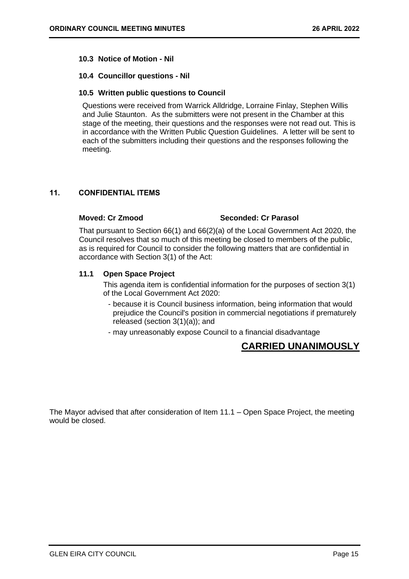### <span id="page-14-0"></span>**10.3 Notice of Motion - Nil**

### <span id="page-14-2"></span><span id="page-14-1"></span>**10.4 Councillor questions - Nil**

### **10.5 Written public questions to Council**

Questions were received from Warrick Alldridge, Lorraine Finlay, Stephen Willis and Julie Staunton. As the submitters were not present in the Chamber at this stage of the meeting, their questions and the responses were not read out. This is in accordance with the Written Public Question Guidelines. A letter will be sent to each of the submitters including their questions and the responses following the meeting.

### <span id="page-14-3"></span>**11. CONFIDENTIAL ITEMS**

### **Moved: Cr Zmood Seconded: Cr Parasol**

That pursuant to Section 66(1) and 66(2)(a) of the Local Government Act 2020, the Council resolves that so much of this meeting be closed to members of the public, as is required for Council to consider the following matters that are confidential in accordance with Section 3(1) of the Act:

### **11.1 Open Space Project**

This agenda item is confidential information for the purposes of section 3(1) of the Local Government Act 2020:

- because it is Council business information, being information that would prejudice the Council's position in commercial negotiations if prematurely released (section 3(1)(a)); and
- may unreasonably expose Council to a financial disadvantage

# **CARRIED UNANIMOUSLY**

The Mayor advised that after consideration of Item 11.1 – Open Space Project, the meeting would be closed.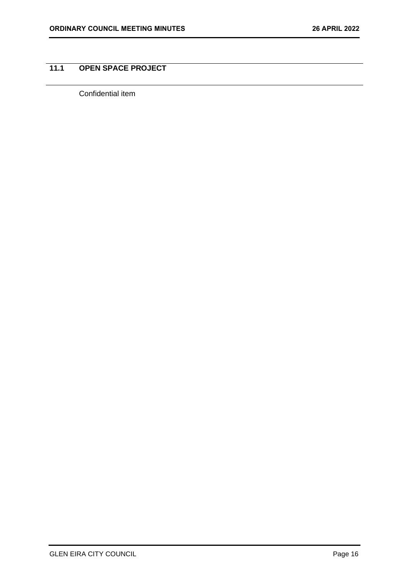# <span id="page-15-0"></span>**11.1 OPEN SPACE PROJECT**

Confidential item